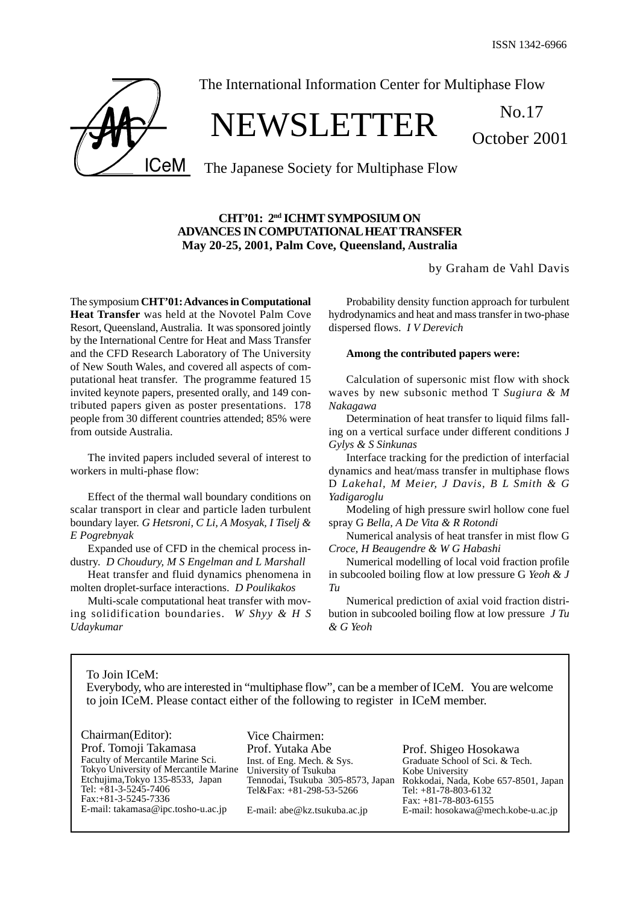October 2001

**ICeM** 

The International Information Center for Multiphase Flow

# NEWSLETTER No.17

The Japanese Society for Multiphase Flow

# **CHT'01: 2nd ICHMT SYMPOSIUM ON ADVANCES IN COMPUTATIONAL HEAT TRANSFER May 20-25, 2001, Palm Cove, Queensland, Australia**

by Graham de Vahl Davis

The symposium **CHT'01: Advances in Computational Heat Transfer** was held at the Novotel Palm Cove Resort, Queensland, Australia. It was sponsored jointly by the International Centre for Heat and Mass Transfer and the CFD Research Laboratory of The University of New South Wales, and covered all aspects of computational heat transfer. The programme featured 15 invited keynote papers, presented orally, and 149 contributed papers given as poster presentations. 178 people from 30 different countries attended; 85% were from outside Australia.

The invited papers included several of interest to workers in multi-phase flow:

Effect of the thermal wall boundary conditions on scalar transport in clear and particle laden turbulent boundary layer. *G Hetsroni, C Li, A Mosyak, I Tiselj & E Pogrebnyak*

Expanded use of CFD in the chemical process industry. *D Choudury, M S Engelman and L Marshall*

Heat transfer and fluid dynamics phenomena in molten droplet-surface interactions. *D Poulikakos*

Multi-scale computational heat transfer with moving solidification boundaries. *W Shyy & H S Udaykumar*

Probability density function approach for turbulent hydrodynamics and heat and mass transfer in two-phase dispersed flows. *I V Derevich*

#### **Among the contributed papers were:**

Calculation of supersonic mist flow with shock waves by new subsonic method T *Sugiura & M Nakagawa*

Determination of heat transfer to liquid films falling on a vertical surface under different conditions J *Gylys & S Sinkunas*

Interface tracking for the prediction of interfacial dynamics and heat/mass transfer in multiphase flows D *Lakehal, M Meier, J Davis, B L Smith & G Yadigaroglu*

Modeling of high pressure swirl hollow cone fuel spray G *Bella, A De Vita & R Rotondi*

Numerical analysis of heat transfer in mist flow G *Croce, H Beaugendre & W G Habashi*

Numerical modelling of local void fraction profile in subcooled boiling flow at low pressure G *Yeoh & J Tu*

Numerical prediction of axial void fraction distribution in subcooled boiling flow at low pressure *J Tu & G Yeoh*

To Join ICeM:

Everybody, who are interested in "multiphase flow", can be a member of ICeM. You are welcome to join ICeM. Please contact either of the following to register in ICeM member.

Chairman(Editor): Prof. Tomoji Takamasa Faculty of Mercantile Marine Sci. Tokyo University of Mercantile Marine Etchujima,Tokyo 135-8533, Japan Tel: +81-3-5245-7406 Fax:+81-3-5245-7336 E-mail: takamasa@ipc.tosho-u.ac.jp

Vice Chairmen: Prof. Yutaka Abe Inst. of Eng. Mech. & Sys. University of Tsukuba Tennodai, Tsukuba 305-8573, Japan Tel&Fax: +81-298-53-5266

E-mail: abe@kz.tsukuba.ac.jp

Prof. Shigeo Hosokawa Graduate School of Sci. & Tech. Kobe University Rokkodai, Nada, Kobe 657-8501, Japan Tel: +81-78-803-6132 Fax: +81-78-803-6155 E-mail: hosokawa@mech.kobe-u.ac.jp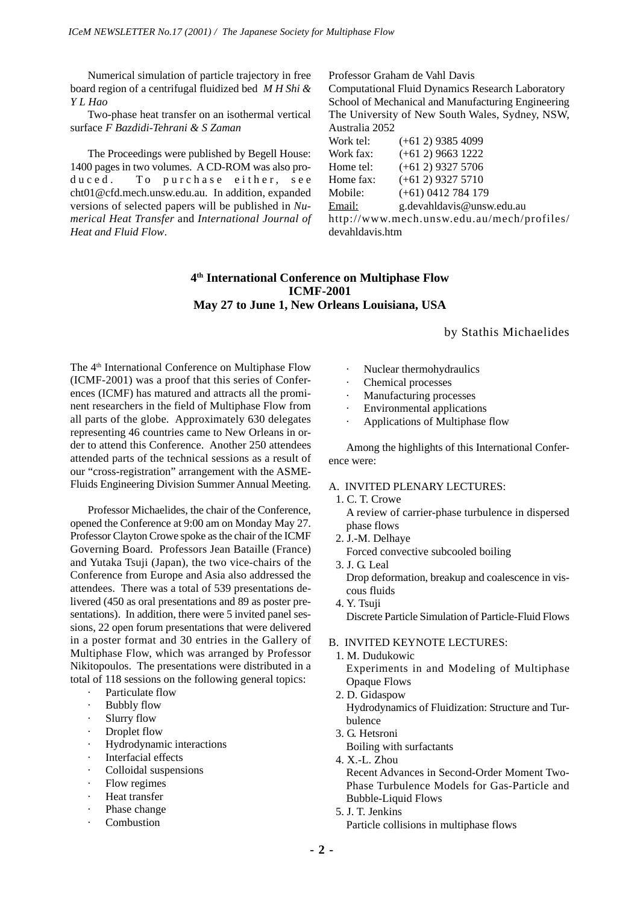Numerical simulation of particle trajectory in free board region of a centrifugal fluidized bed *M H Shi & Y L Hao*

Two-phase heat transfer on an isothermal vertical surface *F Bazdidi-Tehrani & S Zaman*

The Proceedings were published by Begell House: 1400 pages in two volumes. A CD-ROM was also produced. To purchase either, see cht01@cfd.mech.unsw.edu.au. In addition, expanded versions of selected papers will be published in *Numerical Heat Transfer* and *International Journal of Heat and Fluid Flow*.

# Professor Graham de Vahl Davis

Computational Fluid Dynamics Research Laboratory School of Mechanical and Manufacturing Engineering The University of New South Wales, Sydney, NSW, Australia 2052

Work tel: (+61 2) 9385 4099 Work fax: (+61 2) 9663 1222 Home tel:  $(+61\ 2)$  9327 5706 Home fax:  $(+61\ 2)$  9327 5710 Mobile: (+61) 0412 784 179 Email: g.devahldavis@unsw.edu.au http://www.mech.unsw.edu.au/mech/profiles/ devahldavis.htm

# **4th International Conference on Multiphase Flow ICMF-2001 May 27 to June 1, New Orleans Louisiana, USA**

by Stathis Michaelides

The 4<sup>th</sup> International Conference on Multiphase Flow (ICMF-2001) was a proof that this series of Conferences (ICMF) has matured and attracts all the prominent researchers in the field of Multiphase Flow from all parts of the globe. Approximately 630 delegates representing 46 countries came to New Orleans in order to attend this Conference. Another 250 attendees attended parts of the technical sessions as a result of our "cross-registration" arrangement with the ASME-Fluids Engineering Division Summer Annual Meeting.

Professor Michaelides, the chair of the Conference, opened the Conference at 9:00 am on Monday May 27. Professor Clayton Crowe spoke as the chair of the ICMF Governing Board. Professors Jean Bataille (France) and Yutaka Tsuji (Japan), the two vice-chairs of the Conference from Europe and Asia also addressed the attendees. There was a total of 539 presentations delivered (450 as oral presentations and 89 as poster presentations). In addition, there were 5 invited panel sessions, 22 open forum presentations that were delivered in a poster format and 30 entries in the Gallery of Multiphase Flow, which was arranged by Professor Nikitopoulos. The presentations were distributed in a total of 118 sessions on the following general topics:

- · Particulate flow
- **Bubbly flow**
- Slurry flow
- Droplet flow
- · Hydrodynamic interactions
- Interfacial effects
- Colloidal suspensions
- Flow regimes
- Heat transfer
- Phase change
- **Combustion**
- Nuclear thermohydraulics
- Chemical processes
- Manufacturing processes
- Environmental applications
- Applications of Multiphase flow

Among the highlights of this International Conference were:

# A. INVITED PLENARY LECTURES:

- 1. C. T. Crowe A review of carrier-phase turbulence in dispersed phase flows
- 2. J.-M. Delhaye Forced convective subcooled boiling
- 3. J. G. Leal Drop deformation, breakup and coalescence in viscous fluids
- 4. Y. Tsuji Discrete Particle Simulation of Particle-Fluid Flows

#### B. INVITED KEYNOTE LECTURES:

- 1. M. Dudukowic Experiments in and Modeling of Multiphase Opaque Flows
- 2. D. Gidaspow Hydrodynamics of Fluidization: Structure and Turbulence
- 3. G. Hetsroni

Boiling with surfactants

- 4. X.-L. Zhou Recent Advances in Second-Order Moment Two-Phase Turbulence Models for Gas-Particle and Bubble-Liquid Flows
- 5. J. T. Jenkins Particle collisions in multiphase flows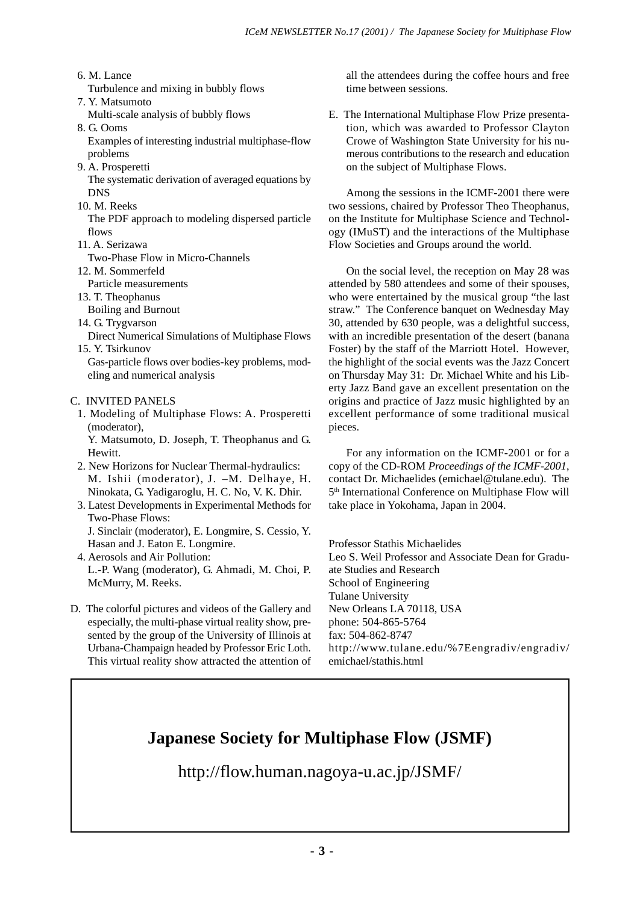- 6. M. Lance
- Turbulence and mixing in bubbly flows
- 7. Y. Matsumoto

Multi-scale analysis of bubbly flows

8. G. Ooms

Examples of interesting industrial multiphase-flow problems

9. A. Prosperetti

The systematic derivation of averaged equations by **DNS** 

10. M. Reeks

The PDF approach to modeling dispersed particle flows

11. A. Serizawa

Two-Phase Flow in Micro-Channels

12. M. Sommerfeld

Particle measurements

- 13. T. Theophanus
- Boiling and Burnout
- 14. G. Trygvarson
- Direct Numerical Simulations of Multiphase Flows 15. Y. Tsirkunov

Gas-particle flows over bodies-key problems, modeling and numerical analysis

# C. INVITED PANELS

1. Modeling of Multiphase Flows: A. Prosperetti (moderator),

Y. Matsumoto, D. Joseph, T. Theophanus and G. Hewitt.

- 2. New Horizons for Nuclear Thermal-hydraulics: M. Ishii (moderator), J. –M. Delhaye, H. Ninokata, G. Yadigaroglu, H. C. No, V. K. Dhir.
- 3. Latest Developments in Experimental Methods for Two-Phase Flows: J. Sinclair (moderator), E. Longmire, S. Cessio, Y.
- Hasan and J. Eaton E. Longmire. 4. Aerosols and Air Pollution: L.-P. Wang (moderator), G. Ahmadi, M. Choi, P. McMurry, M. Reeks.
- D. The colorful pictures and videos of the Gallery and especially, the multi-phase virtual reality show, presented by the group of the University of Illinois at Urbana-Champaign headed by Professor Eric Loth. This virtual reality show attracted the attention of

all the attendees during the coffee hours and free time between sessions.

E. The International Multiphase Flow Prize presentation, which was awarded to Professor Clayton Crowe of Washington State University for his numerous contributions to the research and education on the subject of Multiphase Flows.

Among the sessions in the ICMF-2001 there were two sessions, chaired by Professor Theo Theophanus, on the Institute for Multiphase Science and Technology (IMuST) and the interactions of the Multiphase Flow Societies and Groups around the world.

On the social level, the reception on May 28 was attended by 580 attendees and some of their spouses, who were entertained by the musical group "the last straw." The Conference banquet on Wednesday May 30, attended by 630 people, was a delightful success, with an incredible presentation of the desert (banana Foster) by the staff of the Marriott Hotel. However, the highlight of the social events was the Jazz Concert on Thursday May 31: Dr. Michael White and his Liberty Jazz Band gave an excellent presentation on the origins and practice of Jazz music highlighted by an excellent performance of some traditional musical pieces.

For any information on the ICMF-2001 or for a copy of the CD-ROM *Proceedings of the ICMF-2001*, contact Dr. Michaelides (emichael@tulane.edu). The 5<sup>th</sup> International Conference on Multiphase Flow will take place in Yokohama, Japan in 2004.

Professor Stathis Michaelides Leo S. Weil Professor and Associate Dean for Graduate Studies and Research School of Engineering Tulane University New Orleans LA 70118, USA phone: 504-865-5764 fax: 504-862-8747 http://www.tulane.edu/%7Eengradiv/engradiv/ emichael/stathis.html

# **Japanese Society for Multiphase Flow (JSMF)**

http://flow.human.nagoya-u.ac.jp/JSMF/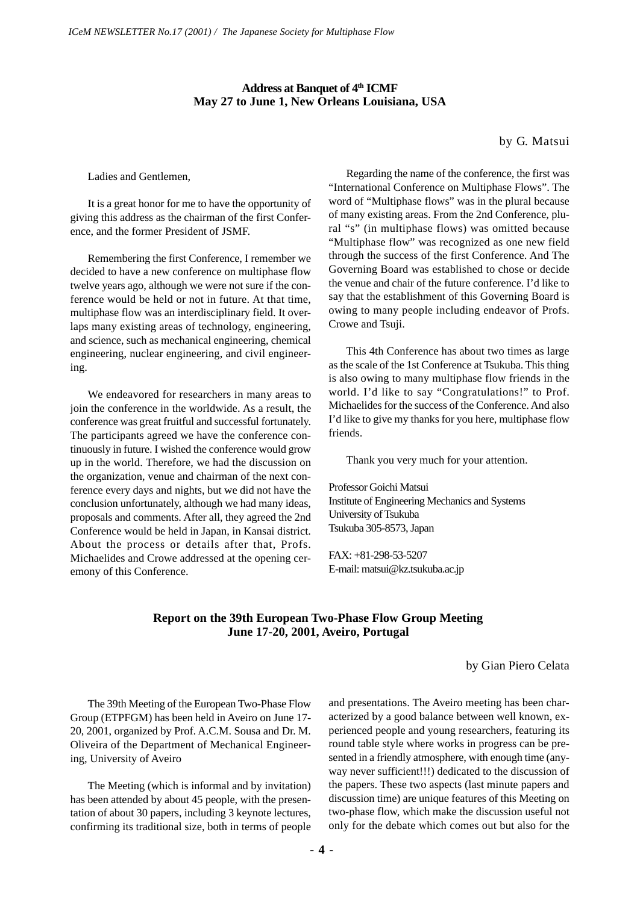# Address at Banquet of 4<sup>th</sup> ICMF **May 27 to June 1, New Orleans Louisiana, USA**

by G. Matsui

Ladies and Gentlemen,

It is a great honor for me to have the opportunity of giving this address as the chairman of the first Conference, and the former President of JSMF.

Remembering the first Conference, I remember we decided to have a new conference on multiphase flow twelve years ago, although we were not sure if the conference would be held or not in future. At that time, multiphase flow was an interdisciplinary field. It overlaps many existing areas of technology, engineering, and science, such as mechanical engineering, chemical engineering, nuclear engineering, and civil engineering.

We endeavored for researchers in many areas to join the conference in the worldwide. As a result, the conference was great fruitful and successful fortunately. The participants agreed we have the conference continuously in future. I wished the conference would grow up in the world. Therefore, we had the discussion on the organization, venue and chairman of the next conference every days and nights, but we did not have the conclusion unfortunately, although we had many ideas, proposals and comments. After all, they agreed the 2nd Conference would be held in Japan, in Kansai district. About the process or details after that, Profs. Michaelides and Crowe addressed at the opening ceremony of this Conference.

Regarding the name of the conference, the first was "International Conference on Multiphase Flows". The word of "Multiphase flows" was in the plural because of many existing areas. From the 2nd Conference, plural "s" (in multiphase flows) was omitted because "Multiphase flow" was recognized as one new field through the success of the first Conference. And The Governing Board was established to chose or decide the venue and chair of the future conference. I'd like to say that the establishment of this Governing Board is owing to many people including endeavor of Profs. Crowe and Tsuji.

This 4th Conference has about two times as large as the scale of the 1st Conference at Tsukuba. This thing is also owing to many multiphase flow friends in the world. I'd like to say "Congratulations!" to Prof. Michaelides for the success of the Conference. And also I'd like to give my thanks for you here, multiphase flow friends.

Thank you very much for your attention.

Professor Goichi Matsui Institute of Engineering Mechanics and Systems University of Tsukuba Tsukuba 305-8573, Japan

FAX: +81-298-53-5207 E-mail: matsui@kz.tsukuba.ac.jp

# **Report on the 39th European Two-Phase Flow Group Meeting June 17-20, 2001, Aveiro, Portugal**

by Gian Piero Celata

The 39th Meeting of the European Two-Phase Flow Group (ETPFGM) has been held in Aveiro on June 17- 20, 2001, organized by Prof. A.C.M. Sousa and Dr. M. Oliveira of the Department of Mechanical Engineering, University of Aveiro

The Meeting (which is informal and by invitation) has been attended by about 45 people, with the presentation of about 30 papers, including 3 keynote lectures, confirming its traditional size, both in terms of people and presentations. The Aveiro meeting has been characterized by a good balance between well known, experienced people and young researchers, featuring its round table style where works in progress can be presented in a friendly atmosphere, with enough time (anyway never sufficient!!!) dedicated to the discussion of the papers. These two aspects (last minute papers and discussion time) are unique features of this Meeting on two-phase flow, which make the discussion useful not only for the debate which comes out but also for the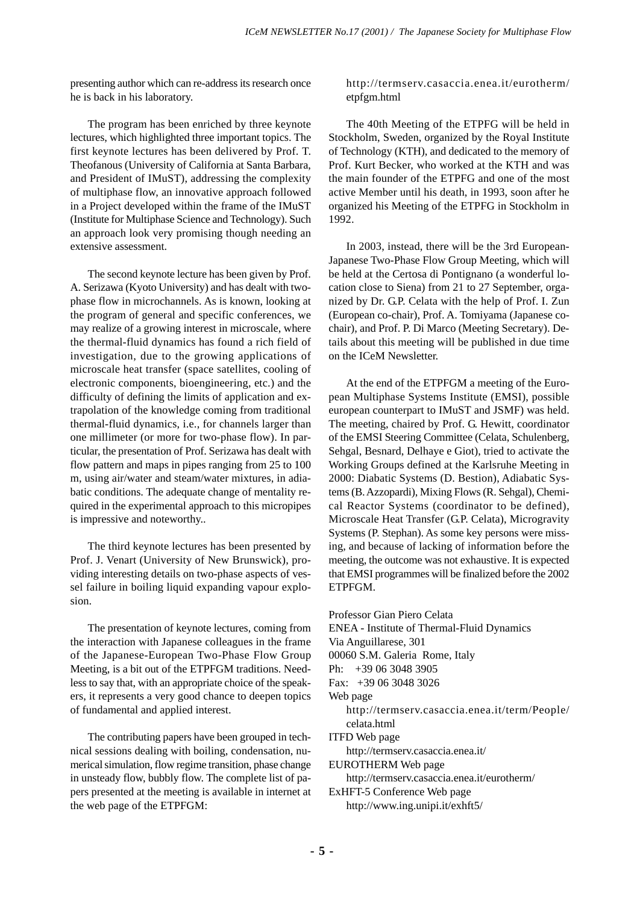presenting author which can re-address its research once he is back in his laboratory.

The program has been enriched by three keynote lectures, which highlighted three important topics. The first keynote lectures has been delivered by Prof. T. Theofanous (University of California at Santa Barbara, and President of IMuST), addressing the complexity of multiphase flow, an innovative approach followed in a Project developed within the frame of the IMuST (Institute for Multiphase Science and Technology). Such an approach look very promising though needing an extensive assessment.

The second keynote lecture has been given by Prof. A. Serizawa (Kyoto University) and has dealt with twophase flow in microchannels. As is known, looking at the program of general and specific conferences, we may realize of a growing interest in microscale, where the thermal-fluid dynamics has found a rich field of investigation, due to the growing applications of microscale heat transfer (space satellites, cooling of electronic components, bioengineering, etc.) and the difficulty of defining the limits of application and extrapolation of the knowledge coming from traditional thermal-fluid dynamics, i.e., for channels larger than one millimeter (or more for two-phase flow). In particular, the presentation of Prof. Serizawa has dealt with flow pattern and maps in pipes ranging from 25 to 100 m, using air/water and steam/water mixtures, in adiabatic conditions. The adequate change of mentality required in the experimental approach to this micropipes is impressive and noteworthy..

The third keynote lectures has been presented by Prof. J. Venart (University of New Brunswick), providing interesting details on two-phase aspects of vessel failure in boiling liquid expanding vapour explosion.

The presentation of keynote lectures, coming from the interaction with Japanese colleagues in the frame of the Japanese-European Two-Phase Flow Group Meeting, is a bit out of the ETPFGM traditions. Needless to say that, with an appropriate choice of the speakers, it represents a very good chance to deepen topics of fundamental and applied interest.

The contributing papers have been grouped in technical sessions dealing with boiling, condensation, numerical simulation, flow regime transition, phase change in unsteady flow, bubbly flow. The complete list of papers presented at the meeting is available in internet at the web page of the ETPFGM:

http://termserv.casaccia.enea.it/eurotherm/ etpfgm.html

The 40th Meeting of the ETPFG will be held in Stockholm, Sweden, organized by the Royal Institute of Technology (KTH), and dedicated to the memory of Prof. Kurt Becker, who worked at the KTH and was the main founder of the ETPFG and one of the most active Member until his death, in 1993, soon after he organized his Meeting of the ETPFG in Stockholm in 1992.

In 2003, instead, there will be the 3rd European-Japanese Two-Phase Flow Group Meeting, which will be held at the Certosa di Pontignano (a wonderful location close to Siena) from 21 to 27 September, organized by Dr. G.P. Celata with the help of Prof. I. Zun (European co-chair), Prof. A. Tomiyama (Japanese cochair), and Prof. P. Di Marco (Meeting Secretary). Details about this meeting will be published in due time on the ICeM Newsletter.

At the end of the ETPFGM a meeting of the European Multiphase Systems Institute (EMSI), possible european counterpart to IMuST and JSMF) was held. The meeting, chaired by Prof. G. Hewitt, coordinator of the EMSI Steering Committee (Celata, Schulenberg, Sehgal, Besnard, Delhaye e Giot), tried to activate the Working Groups defined at the Karlsruhe Meeting in 2000: Diabatic Systems (D. Bestion), Adiabatic Systems (B. Azzopardi), Mixing Flows (R. Sehgal), Chemical Reactor Systems (coordinator to be defined), Microscale Heat Transfer (G.P. Celata), Microgravity Systems (P. Stephan). As some key persons were missing, and because of lacking of information before the meeting, the outcome was not exhaustive. It is expected that EMSI programmes will be finalized before the 2002 ETPFGM.

Professor Gian Piero Celata ENEA - Institute of Thermal-Fluid Dynamics Via Anguillarese, 301 00060 S.M. Galeria Rome, Italy Ph: +39 06 3048 3905 Fax: +39 06 3048 3026 Web page http://termserv.casaccia.enea.it/term/People/ celata.html ITFD Web page http://termserv.casaccia.enea.it/ EUROTHERM Web page http://termserv.casaccia.enea.it/eurotherm/ ExHFT-5 Conference Web page http://www.ing.unipi.it/exhft5/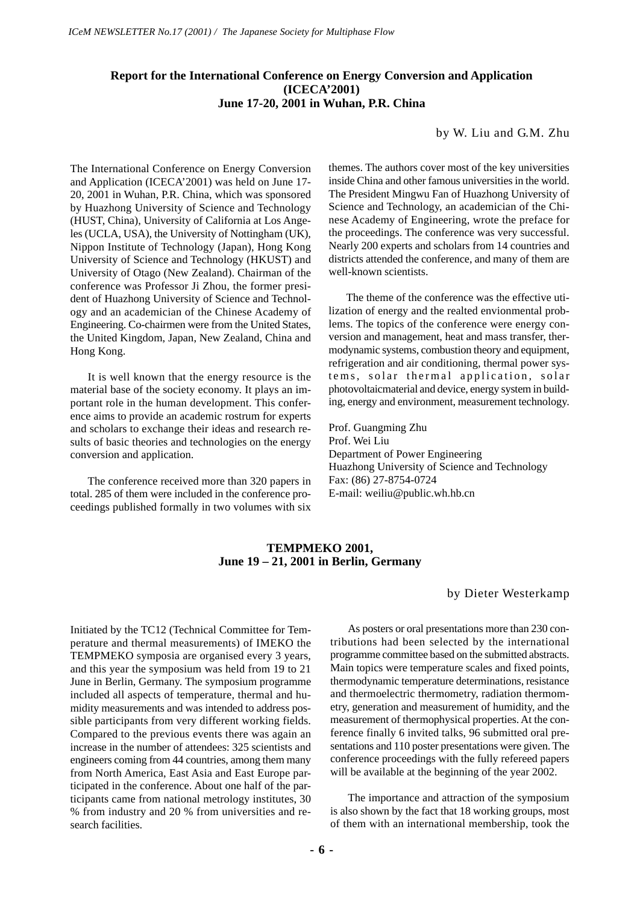# **Report for the International Conference on Energy Conversion and Application (ICECA'2001) June 17-20, 2001 in Wuhan, P.R. China**

## by W. Liu and G.M. Zhu

The International Conference on Energy Conversion and Application (ICECA'2001) was held on June 17- 20, 2001 in Wuhan, P.R. China, which was sponsored by Huazhong University of Science and Technology (HUST, China), University of California at Los Angeles (UCLA, USA), the University of Nottingham (UK), Nippon Institute of Technology (Japan), Hong Kong University of Science and Technology (HKUST) and University of Otago (New Zealand). Chairman of the conference was Professor Ji Zhou, the former president of Huazhong University of Science and Technology and an academician of the Chinese Academy of Engineering. Co-chairmen were from the United States, the United Kingdom, Japan, New Zealand, China and Hong Kong.

It is well known that the energy resource is the material base of the society economy. It plays an important role in the human development. This conference aims to provide an academic rostrum for experts and scholars to exchange their ideas and research results of basic theories and technologies on the energy conversion and application.

The conference received more than 320 papers in total. 285 of them were included in the conference proceedings published formally in two volumes with six themes. The authors cover most of the key universities inside China and other famous universities in the world. The President Mingwu Fan of Huazhong University of Science and Technology, an academician of the Chinese Academy of Engineering, wrote the preface for the proceedings. The conference was very successful. Nearly 200 experts and scholars from 14 countries and districts attended the conference, and many of them are well-known scientists.

The theme of the conference was the effective utilization of energy and the realted envionmental problems. The topics of the conference were energy conversion and management, heat and mass transfer, thermodynamic systems, combustion theory and equipment, refrigeration and air conditioning, thermal power systems, solar thermal application, solar photovoltaicmaterial and device, energy system in building, energy and environment, measurement technology.

Prof. Guangming Zhu Prof. Wei Liu Department of Power Engineering Huazhong University of Science and Technology Fax: (86) 27-8754-0724 E-mail: weiliu@public.wh.hb.cn

# **TEMPMEKO 2001, June 19 – 21, 2001 in Berlin, Germany**

by Dieter Westerkamp

Initiated by the TC12 (Technical Committee for Temperature and thermal measurements) of IMEKO the TEMPMEKO symposia are organised every 3 years, and this year the symposium was held from 19 to 21 June in Berlin, Germany. The symposium programme included all aspects of temperature, thermal and humidity measurements and was intended to address possible participants from very different working fields. Compared to the previous events there was again an increase in the number of attendees: 325 scientists and engineers coming from 44 countries, among them many from North America, East Asia and East Europe participated in the conference. About one half of the participants came from national metrology institutes, 30 % from industry and 20 % from universities and research facilities.

As posters or oral presentations more than 230 contributions had been selected by the international programme committee based on the submitted abstracts. Main topics were temperature scales and fixed points, thermodynamic temperature determinations, resistance and thermoelectric thermometry, radiation thermometry, generation and measurement of humidity, and the measurement of thermophysical properties. At the conference finally 6 invited talks, 96 submitted oral presentations and 110 poster presentations were given. The conference proceedings with the fully refereed papers will be available at the beginning of the year 2002.

The importance and attraction of the symposium is also shown by the fact that 18 working groups, most of them with an international membership, took the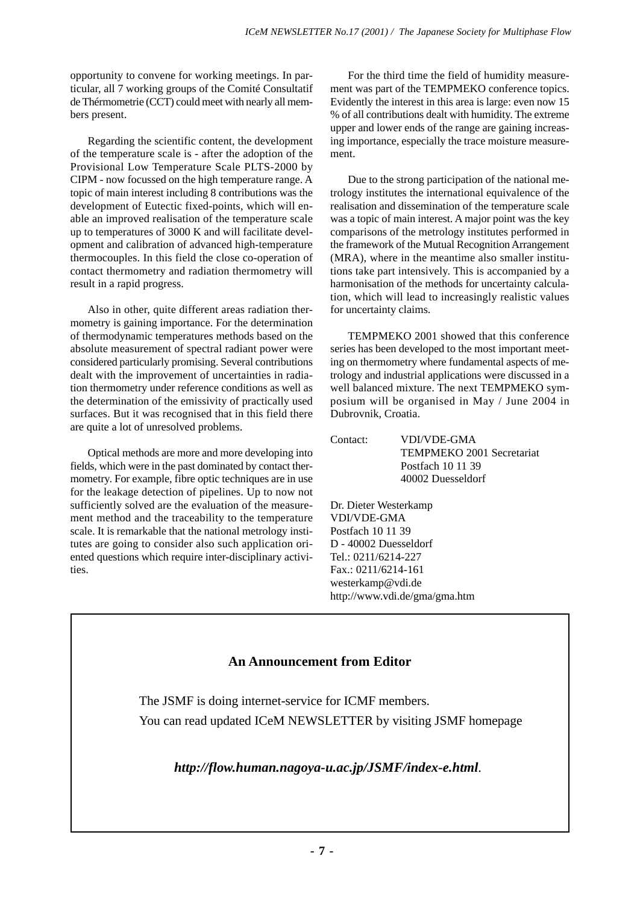opportunity to convene for working meetings. In particular, all 7 working groups of the Comité Consultatif de Thérmometrie (CCT) could meet with nearly all members present.

Regarding the scientific content, the development of the temperature scale is - after the adoption of the Provisional Low Temperature Scale PLTS-2000 by CIPM - now focussed on the high temperature range. A topic of main interest including 8 contributions was the development of Eutectic fixed-points, which will enable an improved realisation of the temperature scale up to temperatures of 3000 K and will facilitate development and calibration of advanced high-temperature thermocouples. In this field the close co-operation of contact thermometry and radiation thermometry will result in a rapid progress.

Also in other, quite different areas radiation thermometry is gaining importance. For the determination of thermodynamic temperatures methods based on the absolute measurement of spectral radiant power were considered particularly promising. Several contributions dealt with the improvement of uncertainties in radiation thermometry under reference conditions as well as the determination of the emissivity of practically used surfaces. But it was recognised that in this field there are quite a lot of unresolved problems.

Optical methods are more and more developing into fields, which were in the past dominated by contact thermometry. For example, fibre optic techniques are in use for the leakage detection of pipelines. Up to now not sufficiently solved are the evaluation of the measurement method and the traceability to the temperature scale. It is remarkable that the national metrology institutes are going to consider also such application oriented questions which require inter-disciplinary activities.

For the third time the field of humidity measurement was part of the TEMPMEKO conference topics. Evidently the interest in this area is large: even now 15 % of all contributions dealt with humidity. The extreme upper and lower ends of the range are gaining increasing importance, especially the trace moisture measurement.

Due to the strong participation of the national metrology institutes the international equivalence of the realisation and dissemination of the temperature scale was a topic of main interest. A major point was the key comparisons of the metrology institutes performed in the framework of the Mutual Recognition Arrangement (MRA), where in the meantime also smaller institutions take part intensively. This is accompanied by a harmonisation of the methods for uncertainty calculation, which will lead to increasingly realistic values for uncertainty claims.

TEMPMEKO 2001 showed that this conference series has been developed to the most important meeting on thermometry where fundamental aspects of metrology and industrial applications were discussed in a well balanced mixture. The next TEMPMEKO symposium will be organised in May / June 2004 in Dubrovnik, Croatia.

| Contact: | <b>VDI/VDE-GMA</b>        |
|----------|---------------------------|
|          | TEMPMEKO 2001 Secretariat |
|          | Postfach 10 11 39         |
|          | 40002 Duesseldorf         |

Dr. Dieter Westerkamp VDI/VDE-GMA Postfach 10 11 39 D - 40002 Duesseldorf Tel.: 0211/6214-227 Fax.: 0211/6214-161 westerkamp@vdi.de http://www.vdi.de/gma/gma.htm

# **An Announcement from Editor**

The JSMF is doing internet-service for ICMF members.

You can read updated ICeM NEWSLETTER by visiting JSMF homepage

 *http://flow.human.nagoya-u.ac.jp/JSMF/index-e.html*.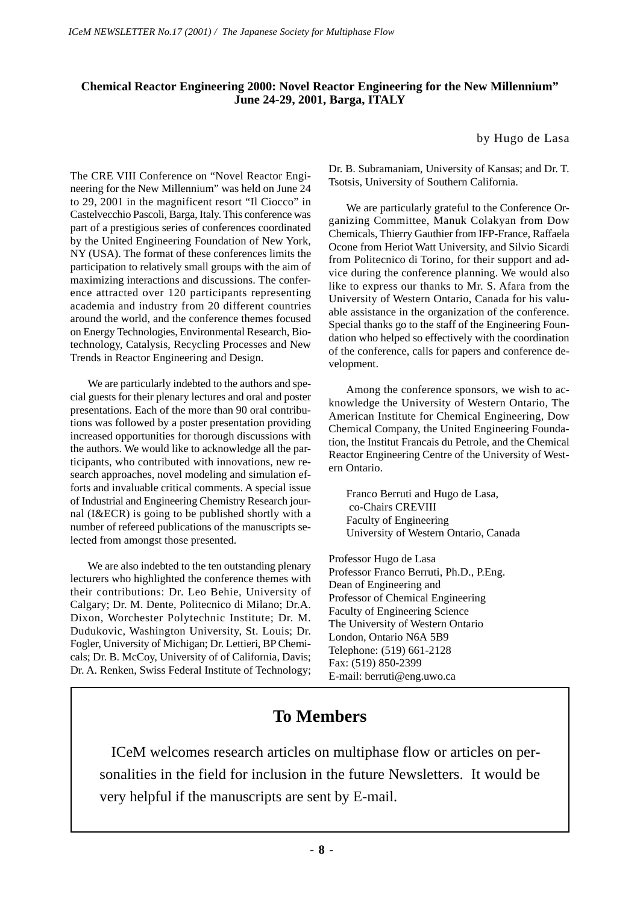# **Chemical Reactor Engineering 2000: Novel Reactor Engineering for the New Millennium" June 24-29, 2001, Barga, ITALY**

by Hugo de Lasa

The CRE VIII Conference on "Novel Reactor Engineering for the New Millennium" was held on June 24 to 29, 2001 in the magnificent resort "Il Ciocco" in Castelvecchio Pascoli, Barga, Italy. This conference was part of a prestigious series of conferences coordinated by the United Engineering Foundation of New York, NY (USA). The format of these conferences limits the participation to relatively small groups with the aim of maximizing interactions and discussions. The conference attracted over 120 participants representing academia and industry from 20 different countries around the world, and the conference themes focused on Energy Technologies, Environmental Research, Biotechnology, Catalysis, Recycling Processes and New Trends in Reactor Engineering and Design.

We are particularly indebted to the authors and special guests for their plenary lectures and oral and poster presentations. Each of the more than 90 oral contributions was followed by a poster presentation providing increased opportunities for thorough discussions with the authors. We would like to acknowledge all the participants, who contributed with innovations, new research approaches, novel modeling and simulation efforts and invaluable critical comments. A special issue of Industrial and Engineering Chemistry Research journal (I&ECR) is going to be published shortly with a number of refereed publications of the manuscripts selected from amongst those presented.

We are also indebted to the ten outstanding plenary lecturers who highlighted the conference themes with their contributions: Dr. Leo Behie, University of Calgary; Dr. M. Dente, Politecnico di Milano; Dr.A. Dixon, Worchester Polytechnic Institute; Dr. M. Dudukovic, Washington University, St. Louis; Dr. Fogler, University of Michigan; Dr. Lettieri, BP Chemicals; Dr. B. McCoy, University of of California, Davis; Dr. A. Renken, Swiss Federal Institute of Technology;

Dr. B. Subramaniam, University of Kansas; and Dr. T. Tsotsis, University of Southern California.

We are particularly grateful to the Conference Organizing Committee, Manuk Colakyan from Dow Chemicals, Thierry Gauthier from IFP-France, Raffaela Ocone from Heriot Watt University, and Silvio Sicardi from Politecnico di Torino, for their support and advice during the conference planning. We would also like to express our thanks to Mr. S. Afara from the University of Western Ontario, Canada for his valuable assistance in the organization of the conference. Special thanks go to the staff of the Engineering Foundation who helped so effectively with the coordination of the conference, calls for papers and conference development.

Among the conference sponsors, we wish to acknowledge the University of Western Ontario, The American Institute for Chemical Engineering, Dow Chemical Company, the United Engineering Foundation, the Institut Francais du Petrole, and the Chemical Reactor Engineering Centre of the University of Western Ontario.

Franco Berruti and Hugo de Lasa, co-Chairs CREVIII Faculty of Engineering University of Western Ontario, Canada

Professor Hugo de Lasa Professor Franco Berruti, Ph.D., P.Eng. Dean of Engineering and Professor of Chemical Engineering Faculty of Engineering Science The University of Western Ontario London, Ontario N6A 5B9 Telephone: (519) 661-2128 Fax: (519) 850-2399 E-mail: berruti@eng.uwo.ca

# **To Members**

 ICeM welcomes research articles on multiphase flow or articles on personalities in the field for inclusion in the future Newsletters. It would be very helpful if the manuscripts are sent by E-mail.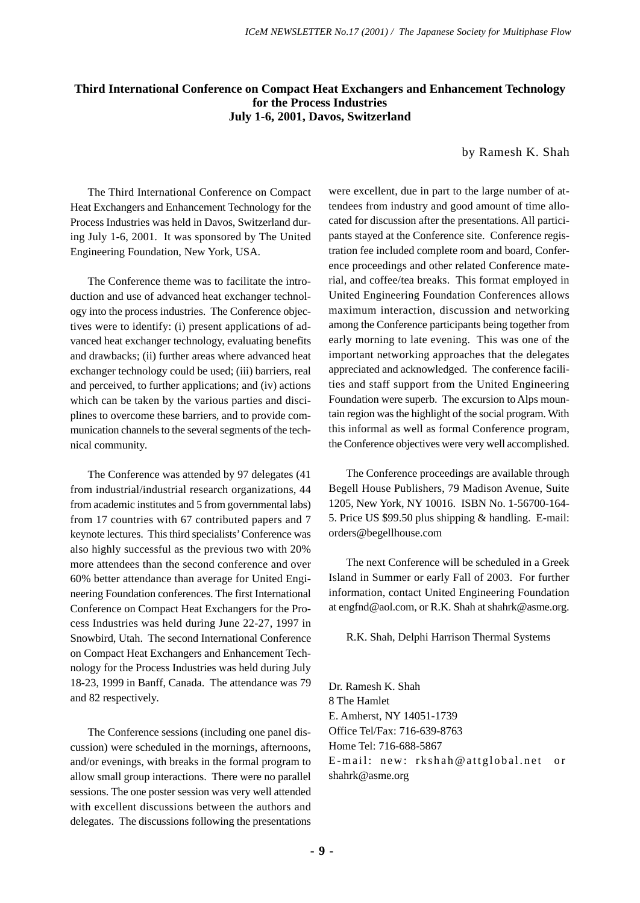# **Third International Conference on Compact Heat Exchangers and Enhancement Technology for the Process Industries July 1-6, 2001, Davos, Switzerland**

by Ramesh K. Shah

The Third International Conference on Compact Heat Exchangers and Enhancement Technology for the Process Industries was held in Davos, Switzerland during July 1-6, 2001. It was sponsored by The United Engineering Foundation, New York, USA.

The Conference theme was to facilitate the introduction and use of advanced heat exchanger technology into the process industries. The Conference objectives were to identify: (i) present applications of advanced heat exchanger technology, evaluating benefits and drawbacks; (ii) further areas where advanced heat exchanger technology could be used; (iii) barriers, real and perceived, to further applications; and (iv) actions which can be taken by the various parties and disciplines to overcome these barriers, and to provide communication channels to the several segments of the technical community.

The Conference was attended by 97 delegates (41 from industrial/industrial research organizations, 44 from academic institutes and 5 from governmental labs) from 17 countries with 67 contributed papers and 7 keynote lectures. This third specialists' Conference was also highly successful as the previous two with 20% more attendees than the second conference and over 60% better attendance than average for United Engineering Foundation conferences. The first International Conference on Compact Heat Exchangers for the Process Industries was held during June 22-27, 1997 in Snowbird, Utah. The second International Conference on Compact Heat Exchangers and Enhancement Technology for the Process Industries was held during July 18-23, 1999 in Banff, Canada. The attendance was 79 and 82 respectively.

The Conference sessions (including one panel discussion) were scheduled in the mornings, afternoons, and/or evenings, with breaks in the formal program to allow small group interactions. There were no parallel sessions. The one poster session was very well attended with excellent discussions between the authors and delegates. The discussions following the presentations were excellent, due in part to the large number of attendees from industry and good amount of time allocated for discussion after the presentations. All participants stayed at the Conference site. Conference registration fee included complete room and board, Conference proceedings and other related Conference material, and coffee/tea breaks. This format employed in United Engineering Foundation Conferences allows maximum interaction, discussion and networking among the Conference participants being together from early morning to late evening. This was one of the important networking approaches that the delegates appreciated and acknowledged. The conference facilities and staff support from the United Engineering Foundation were superb. The excursion to Alps mountain region was the highlight of the social program. With this informal as well as formal Conference program, the Conference objectives were very well accomplished.

The Conference proceedings are available through Begell House Publishers, 79 Madison Avenue, Suite 1205, New York, NY 10016. ISBN No. 1-56700-164- 5. Price US \$99.50 plus shipping & handling. E-mail: orders@begellhouse.com

The next Conference will be scheduled in a Greek Island in Summer or early Fall of 2003. For further information, contact United Engineering Foundation at engfnd@aol.com, or R.K. Shah at shahrk@asme.org.

R.K. Shah, Delphi Harrison Thermal Systems

Dr. Ramesh K. Shah 8 The Hamlet E. Amherst, NY 14051-1739 Office Tel/Fax: 716-639-8763 Home Tel: 716-688-5867 E-mail: new: rkshah@attglobal.net or shahrk@asme.org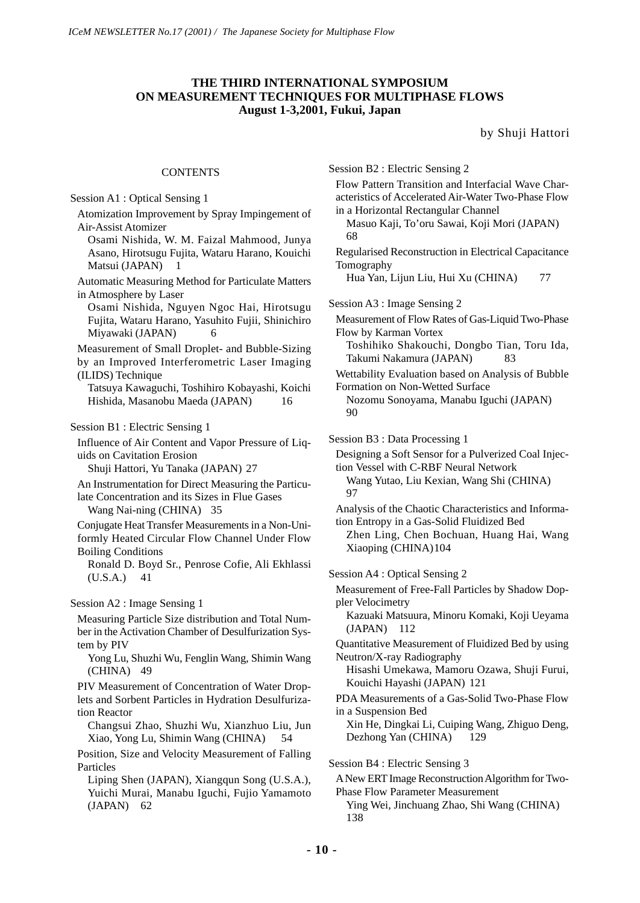# **THE THIRD INTERNATIONAL SYMPOSIUM ON MEASUREMENT TECHNIQUES FOR MULTIPHASE FLOWS August 1-3,2001, Fukui, Japan**

by Shuji Hattori

# **CONTENTS**

| Session A1: Optical Sensing 1                                                                                                                                                                          |
|--------------------------------------------------------------------------------------------------------------------------------------------------------------------------------------------------------|
| Atomization Improvement by Spray Impingement of                                                                                                                                                        |
| Air-Assist Atomizer                                                                                                                                                                                    |
| Osami Nishida, W. M. Faizal Mahmood, Junya<br>Asano, Hirotsugu Fujita, Wataru Harano, Kouichi<br>Matsui (JAPAN)<br>1                                                                                   |
| Automatic Measuring Method for Particulate Matters<br>in Atmosphere by Laser                                                                                                                           |
| Osami Nishida, Nguyen Ngoc Hai, Hirotsugu<br>Fujita, Wataru Harano, Yasuhito Fujii, Shinichiro<br>Miyawaki (JAPAN)<br>6                                                                                |
| Measurement of Small Droplet- and Bubble-Sizing<br>by an Improved Interferometric Laser Imaging<br>(ILIDS) Technique                                                                                   |
| Tatsuya Kawaguchi, Toshihiro Kobayashi, Koichi<br>Hishida, Masanobu Maeda (JAPAN)<br>16                                                                                                                |
| Session B1 : Electric Sensing 1                                                                                                                                                                        |
| Influence of Air Content and Vapor Pressure of Liq-<br>uids on Cavitation Erosion<br>Shuji Hattori, Yu Tanaka (JAPAN) 27                                                                               |
| An Instrumentation for Direct Measuring the Particu-<br>late Concentration and its Sizes in Flue Gases<br>Wang Nai-ning (CHINA)<br>- 35                                                                |
| Conjugate Heat Transfer Measurements in a Non-Uni-<br>formly Heated Circular Flow Channel Under Flow<br><b>Boiling Conditions</b><br>Ronald D. Boyd Sr., Penrose Cofie, Ali Ekhlassi<br>(U.S.A.)<br>41 |
| Session A2 : Image Sensing 1                                                                                                                                                                           |
| Measuring Particle Size distribution and Total Num-<br>ber in the Activation Chamber of Desulfurization Sys-<br>tem by PIV                                                                             |
| Yong Lu, Shuzhi Wu, Fenglin Wang, Shimin Wang<br>(CHINA)<br>-49                                                                                                                                        |
| PIV Measurement of Concentration of Water Drop-<br>lets and Sorbent Particles in Hydration Desulfuriza-<br>tion Reactor                                                                                |
| Changsui Zhao, Shuzhi Wu, Xianzhuo Liu, Jun<br>Xiao, Yong Lu, Shimin Wang (CHINA)                                                                                                                      |
| Position, Size and Velocity Measurement of Falling<br>Particles                                                                                                                                        |
| Liping Shen (JAPAN), Xiangqun Song (U.S.A.),<br>Yuichi Murai, Manabu Iguchi, Fujio Yamamoto<br>(JAPAN)<br>- 62                                                                                         |

| Session B2 : Electric Sensing 2<br>Flow Pattern Transition and Interfacial Wave Char-<br>acteristics of Accelerated Air-Water Two-Phase Flow<br>in a Horizontal Rectangular Channel<br>Masuo Kaji, To'oru Sawai, Koji Mori (JAPAN)<br>68<br>Regularised Reconstruction in Electrical Capacitance<br>Tomography<br>Hua Yan, Lijun Liu, Hui Xu (CHINA)<br>77 |
|------------------------------------------------------------------------------------------------------------------------------------------------------------------------------------------------------------------------------------------------------------------------------------------------------------------------------------------------------------|
| Session A3 : Image Sensing 2                                                                                                                                                                                                                                                                                                                               |
| Measurement of Flow Rates of Gas-Liquid Two-Phase<br>Flow by Karman Vortex<br>Toshihiko Shakouchi, Dongbo Tian, Toru Ida,<br>Takumi Nakamura (JAPAN)<br>83                                                                                                                                                                                                 |
| Wettability Evaluation based on Analysis of Bubble<br>Formation on Non-Wetted Surface<br>Nozomu Sonoyama, Manabu Iguchi (JAPAN)<br>90                                                                                                                                                                                                                      |
| Session B3 : Data Processing 1                                                                                                                                                                                                                                                                                                                             |
| Designing a Soft Sensor for a Pulverized Coal Injec-<br>tion Vessel with C-RBF Neural Network<br>Wang Yutao, Liu Kexian, Wang Shi (CHINA)<br>97                                                                                                                                                                                                            |
| Analysis of the Chaotic Characteristics and Informa-<br>tion Entropy in a Gas-Solid Fluidized Bed<br>Zhen Ling, Chen Bochuan, Huang Hai, Wang<br>Xiaoping (CHINA)104                                                                                                                                                                                       |
| Session A4 : Optical Sensing 2                                                                                                                                                                                                                                                                                                                             |
| Measurement of Free-Fall Particles by Shadow Dop-<br>pler Velocimetry                                                                                                                                                                                                                                                                                      |
| Kazuaki Matsuura, Minoru Komaki, Koji Ueyama<br>$(JAPAN)$ 112                                                                                                                                                                                                                                                                                              |
| Quantitative Measurement of Fluidized Bed by using                                                                                                                                                                                                                                                                                                         |
| Neutron/X-ray Radiography<br>Hisashi Umekawa, Mamoru Ozawa, Shuji Furui,<br>Kouichi Hayashi (JAPAN) 121                                                                                                                                                                                                                                                    |
| PDA Measurements of a Gas-Solid Two-Phase Flow                                                                                                                                                                                                                                                                                                             |
| in a Suspension Bed<br>Xin He, Dingkai Li, Cuiping Wang, Zhiguo Deng,<br>Dezhong Yan (CHINA)<br>129                                                                                                                                                                                                                                                        |
| Session B4 : Electric Sensing 3                                                                                                                                                                                                                                                                                                                            |
| A New ERT Image Reconstruction Algorithm for Two-<br><b>Phase Flow Parameter Measurement</b>                                                                                                                                                                                                                                                               |

Ying Wei, Jinchuang Zhao, Shi Wang (CHINA) 138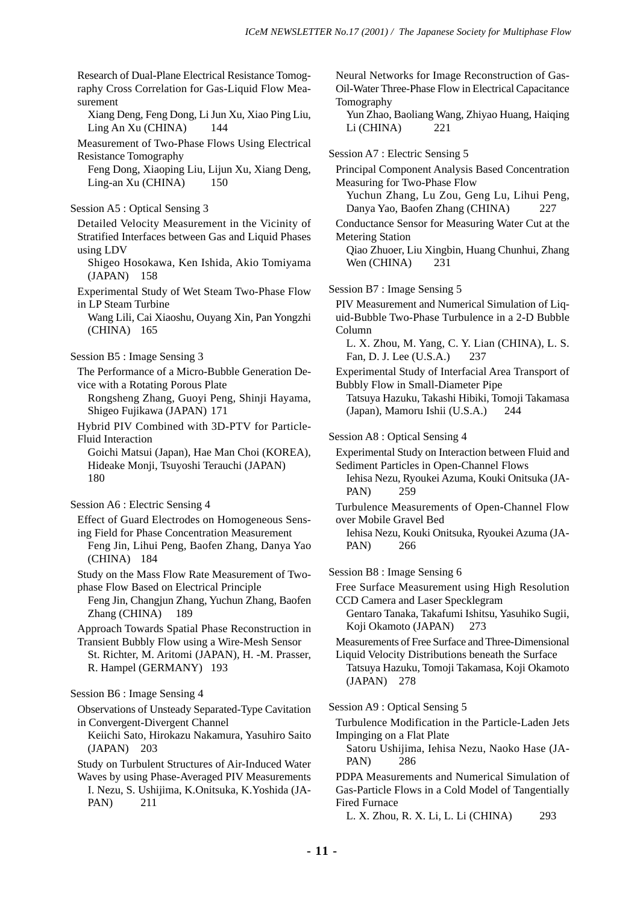Neural Networks for Image Reconstruction of Gas-

Research of Dual-Plane Electrical Resistance Tomography Cross Correlation for Gas-Liquid Flow Measurement Xiang Deng, Feng Dong, Li Jun Xu, Xiao Ping Liu, Ling An Xu (CHINA) 144 Measurement of Two-Phase Flows Using Electrical Resistance Tomography Feng Dong, Xiaoping Liu, Lijun Xu, Xiang Deng, Ling-an Xu (CHINA) 150 Session A5 : Optical Sensing 3 Detailed Velocity Measurement in the Vicinity of Stratified Interfaces between Gas and Liquid Phases using LDV Shigeo Hosokawa, Ken Ishida, Akio Tomiyama (JAPAN) 158 Experimental Study of Wet Steam Two-Phase Flow in LP Steam Turbine Wang Lili, Cai Xiaoshu, Ouyang Xin, Pan Yongzhi (CHINA) 165 Session B5 : Image Sensing 3 The Performance of a Micro-Bubble Generation Device with a Rotating Porous Plate Rongsheng Zhang, Guoyi Peng, Shinji Hayama, Shigeo Fujikawa (JAPAN) 171 Hybrid PIV Combined with 3D-PTV for Particle-Fluid Interaction Goichi Matsui (Japan), Hae Man Choi (KOREA), Hideake Monji, Tsuyoshi Terauchi (JAPAN) 180 Session A6 : Electric Sensing 4 Effect of Guard Electrodes on Homogeneous Sensing Field for Phase Concentration Measurement Feng Jin, Lihui Peng, Baofen Zhang, Danya Yao (CHINA) 184 Study on the Mass Flow Rate Measurement of Twophase Flow Based on Electrical Principle Feng Jin, Changjun Zhang, Yuchun Zhang, Baofen Zhang (CHINA) 189 Approach Towards Spatial Phase Reconstruction in Transient Bubbly Flow using a Wire-Mesh Sensor St. Richter, M. Aritomi (JAPAN), H. -M. Prasser, R. Hampel (GERMANY) 193 Session B6 : Image Sensing 4 Observations of Unsteady Separated-Type Cavitation in Convergent-Divergent Channel Keiichi Sato, Hirokazu Nakamura, Yasuhiro Saito (JAPAN) 203 Study on Turbulent Structures of Air-Induced Water Waves by using Phase-Averaged PIV Measurements I. Nezu, S. Ushijima, K.Onitsuka, K.Yoshida (JA-PAN) 211

Oil-Water Three-Phase Flow in Electrical Capacitance Tomography Yun Zhao, Baoliang Wang, Zhiyao Huang, Haiqing Li (CHINA) 221 Session A7 : Electric Sensing 5 Principal Component Analysis Based Concentration Measuring for Two-Phase Flow Yuchun Zhang, Lu Zou, Geng Lu, Lihui Peng, Danya Yao, Baofen Zhang (CHINA) 227 Conductance Sensor for Measuring Water Cut at the Metering Station Qiao Zhuoer, Liu Xingbin, Huang Chunhui, Zhang Wen (CHINA) 231 Session B7 : Image Sensing 5 PIV Measurement and Numerical Simulation of Liquid-Bubble Two-Phase Turbulence in a 2-D Bubble Column L. X. Zhou, M. Yang, C. Y. Lian (CHINA), L. S. Fan, D. J. Lee (U.S.A.) 237 Experimental Study of Interfacial Area Transport of Bubbly Flow in Small-Diameter Pipe Tatsuya Hazuku, Takashi Hibiki, Tomoji Takamasa (Japan), Mamoru Ishii (U.S.A.) 244 Session A8 : Optical Sensing 4 Experimental Study on Interaction between Fluid and Sediment Particles in Open-Channel Flows Iehisa Nezu, Ryoukei Azuma, Kouki Onitsuka (JA-PAN) 259 Turbulence Measurements of Open-Channel Flow over Mobile Gravel Bed Iehisa Nezu, Kouki Onitsuka, Ryoukei Azuma (JA-PAN) 266 Session B8 : Image Sensing 6 Free Surface Measurement using High Resolution CCD Camera and Laser Specklegram Gentaro Tanaka, Takafumi Ishitsu, Yasuhiko Sugii, Koji Okamoto (JAPAN) 273 Measurements of Free Surface and Three-Dimensional Liquid Velocity Distributions beneath the Surface Tatsuya Hazuku, Tomoji Takamasa, Koji Okamoto (JAPAN) 278 Session A9 : Optical Sensing 5 Turbulence Modification in the Particle-Laden Jets Impinging on a Flat Plate Satoru Ushijima, Iehisa Nezu, Naoko Hase (JA-PAN) 286 PDPA Measurements and Numerical Simulation of Gas-Particle Flows in a Cold Model of Tangentially Fired Furnace

L. X. Zhou, R. X. Li, L. Li (CHINA) 293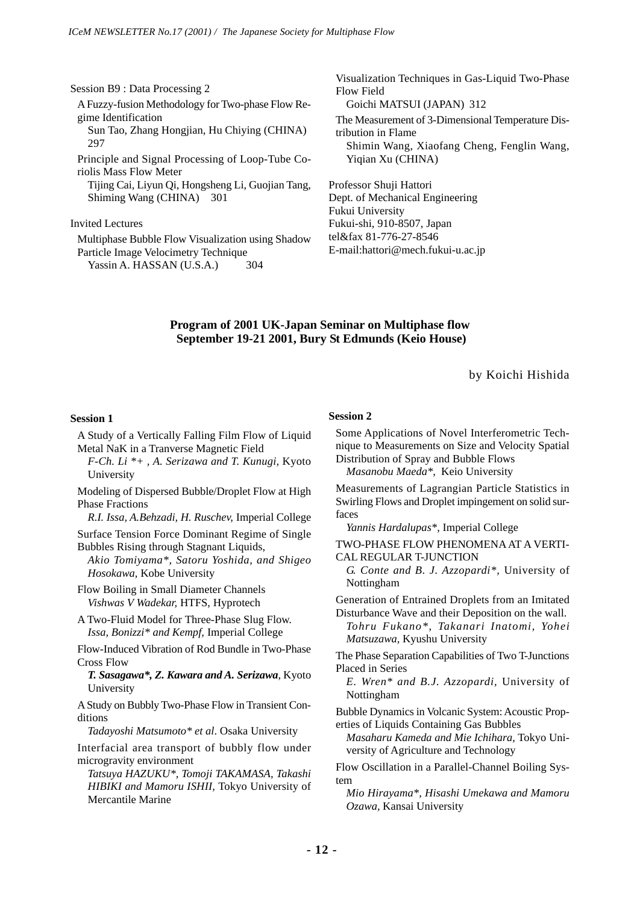| Session B9 : Data Processing 2<br>A Fuzzy-fusion Methodology for Two-phase Flow Re- | Visualization Techniques in Gas-Liquid Two-Phase<br>Flow Field<br>Goichi MATSUI (JAPAN) 312                           |
|-------------------------------------------------------------------------------------|-----------------------------------------------------------------------------------------------------------------------|
| gime Identification<br>Sun Tao, Zhang Hongjian, Hu Chiying (CHINA)<br>297           | The Measurement of 3-Dimensional Temperature Dis-<br>tribution in Flame<br>Shimin Wang, Xiaofang Cheng, Fenglin Wang, |
| Principle and Signal Processing of Loop-Tube Co-<br>riolis Mass Flow Meter          | Yigian Xu (CHINA)                                                                                                     |
| Tijing Cai, Liyun Qi, Hongsheng Li, Guojian Tang,                                   | Professor Shuji Hattori                                                                                               |
| Shiming Wang (CHINA) 301                                                            | Dept. of Mechanical Engineering<br>Fukui University                                                                   |
| <b>Invited Lectures</b>                                                             | Fukui-shi, 910-8507, Japan                                                                                            |
| Multiphase Bubble Flow Visualization using Shadow                                   | tel&fax 81-776-27-8546                                                                                                |
| Particle Image Velocimetry Technique<br>Yassin A. HASSAN (U.S.A.)<br>304            | E-mail:hattori@mech.fukui-u.ac.jp                                                                                     |

# **Program of 2001 UK-Japan Seminar on Multiphase flow September 19-21 2001, Bury St Edmunds (Keio House)**

by Koichi Hishida

# **Session 1**

| A Study of a Vertically Falling Film Flow of Liquid<br>Metal NaK in a Tranverse Magnetic Field<br>F-Ch. Li <sup>*+</sup> , A. Serizawa and T. Kunugi, Kyoto<br>University                     |
|-----------------------------------------------------------------------------------------------------------------------------------------------------------------------------------------------|
| Modeling of Dispersed Bubble/Droplet Flow at High<br><b>Phase Fractions</b><br>R.I. Issa, A.Behzadi, H. Ruschev, Imperial College                                                             |
| Surface Tension Force Dominant Regime of Single<br>Bubbles Rising through Stagnant Liquids,<br>Akio Tomiyama*, Satoru Yoshida, and Shigeo<br>Hosokawa, Kobe University                        |
| Flow Boiling in Small Diameter Channels<br>Vishwas V Wadekar, HTFS, Hyprotech                                                                                                                 |
| A Two-Fluid Model for Three-Phase Slug Flow.<br>Issa, Bonizzi* and Kempf, Imperial College                                                                                                    |
| Flow-Induced Vibration of Rod Bundle in Two-Phase<br><b>Cross Flow</b><br>T. Sasagawa*, Z. Kawara and A. Serizawa, Kyoto<br>University                                                        |
| A Study on Bubbly Two-Phase Flow in Transient Con-<br>ditions<br>Tadayoshi Matsumoto* et al. Osaka University                                                                                 |
| Interfacial area transport of bubbly flow under<br>microgravity environment<br>Tatsuya HAZUKU*, Tomoji TAKAMASA, Takashi<br>HIBIKI and Mamoru ISHII, Tokyo University of<br>Mercantile Marine |
|                                                                                                                                                                                               |

## **Session 2**

| Some Applications of Novel Interferometric Tech-<br>nique to Measurements on Size and Velocity Spatial<br>Distribution of Spray and Bubble Flows<br>Masanobu Maeda*, Keio University    |
|-----------------------------------------------------------------------------------------------------------------------------------------------------------------------------------------|
| Measurements of Lagrangian Particle Statistics in<br>Swirling Flows and Droplet impingement on solid sur-<br>faces                                                                      |
| Yannis Hardalupas*, Imperial College                                                                                                                                                    |
| TWO-PHASE FLOW PHENOMENA AT A VERTI-<br>CAL REGULAR T-JUNCTION<br>G. Conte and B. J. Azzopardi*, University of<br>Nottingham                                                            |
| Generation of Entrained Droplets from an Imitated<br>Disturbance Wave and their Deposition on the wall.<br>Tohru Fukano*, Takanari Inatomi, Yohei<br>Matsuzawa, Kyushu University       |
| The Phase Separation Capabilities of Two T-Junctions<br>Placed in Series<br>E. Wren* and B.J. Azzopardi, University of<br>Nottingham                                                    |
| Bubble Dynamics in Volcanic System: Acoustic Prop-<br>erties of Liquids Containing Gas Bubbles<br>Masaharu Kameda and Mie Ichihara, Tokyo Uni-<br>versity of Agriculture and Technology |
| Flow Oscillation in a Parallel-Channel Boiling Sys-<br>tem                                                                                                                              |

*Mio Hirayama\*, Hisashi Umekawa and Mamoru Ozawa,* Kansai University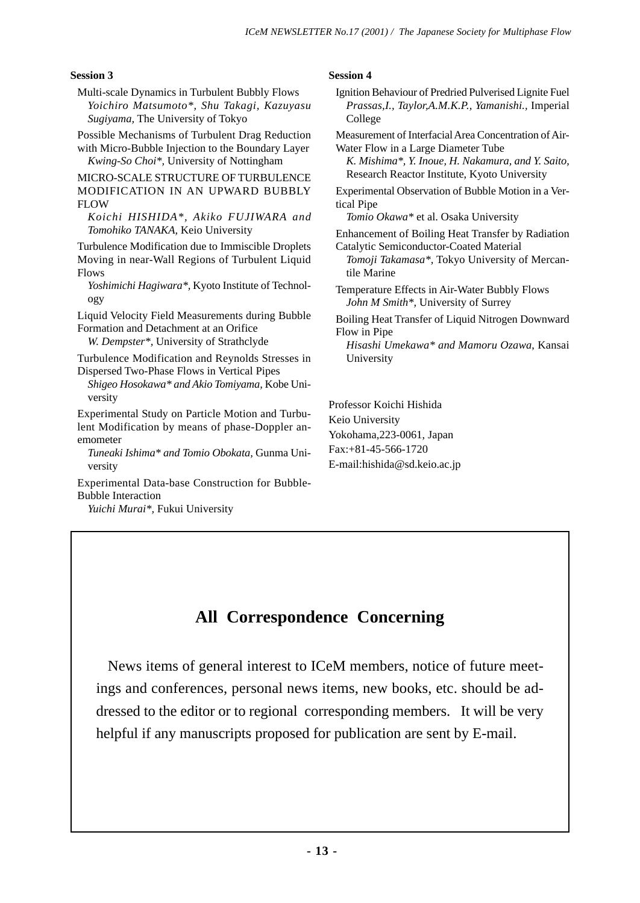# **Session 3**

- Multi-scale Dynamics in Turbulent Bubbly Flows *Yoichiro Matsumoto\*, Shu Takagi, Kazuyasu Sugiyama,* The University of Tokyo
- Possible Mechanisms of Turbulent Drag Reduction

with Micro-Bubble Injection to the Boundary Layer *Kwing-So Choi\*,* University of Nottingham

MICRO-SCALE STRUCTURE OF TURBULENCE MODIFICATION IN AN UPWARD BUBBLY FLOW

*Koichi HISHIDA\*, Akiko FUJIWARA and Tomohiko TANAKA,* Keio University

Turbulence Modification due to Immiscible Droplets Moving in near-Wall Regions of Turbulent Liquid Flows

*Yoshimichi Hagiwara\*,* Kyoto Institute of Technology

Liquid Velocity Field Measurements during Bubble Formation and Detachment at an Orifice

*W. Dempster\*,* University of Strathclyde

Turbulence Modification and Reynolds Stresses in Dispersed Two-Phase Flows in Vertical Pipes

*Shigeo Hosokawa\* and Akio Tomiyama,* Kobe University

Experimental Study on Particle Motion and Turbulent Modification by means of phase-Doppler anemometer

*Tuneaki Ishima\* and Tomio Obokata,* Gunma University

Experimental Data-base Construction for Bubble-Bubble Interaction

*Yuichi Murai\*,* Fukui University

# **Session 4**

Ignition Behaviour of Predried Pulverised Lignite Fuel *Prassas,I., Taylor,A.M.K.P., Yamanishi.,* Imperial College

Measurement of Interfacial Area Concentration of Air-Water Flow in a Large Diameter Tube

*K. Mishima\*, Y. Inoue, H. Nakamura, and Y. Saito,* Research Reactor Institute, Kyoto University

Experimental Observation of Bubble Motion in a Vertical Pipe

*Tomio Okawa\** et al. Osaka University

Enhancement of Boiling Heat Transfer by Radiation Catalytic Semiconductor-Coated Material

*Tomoji Takamasa\*,* Tokyo University of Mercantile Marine

Temperature Effects in Air-Water Bubbly Flows *John M Smith\*,* University of Surrey

Boiling Heat Transfer of Liquid Nitrogen Downward Flow in Pipe

*Hisashi Umekawa\* and Mamoru Ozawa*, Kansai University

Professor Koichi Hishida Keio University Yokohama,223-0061, Japan Fax:+81-45-566-1720 E-mail:hishida@sd.keio.ac.jp

# **All Correspondence Concerning**

 News items of general interest to ICeM members, notice of future meetings and conferences, personal news items, new books, etc. should be addressed to the editor or to regional corresponding members. It will be very helpful if any manuscripts proposed for publication are sent by E-mail.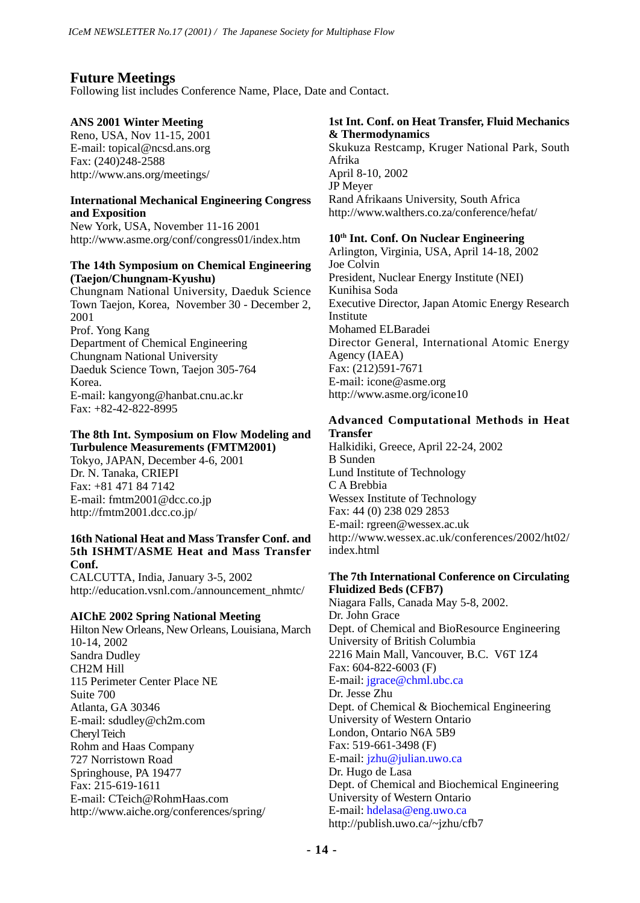# **Future Meetings**

Following list includes Conference Name, Place, Date and Contact.

# **ANS 2001 Winter Meeting**

Reno, USA, Nov 11-15, 2001 E-mail: topical@ncsd.ans.org Fax: (240)248-2588 http://www.ans.org/meetings/

# **International Mechanical Engineering Congress and Exposition**

New York, USA, November 11-16 2001 http://www.asme.org/conf/congress01/index.htm

## **The 14th Symposium on Chemical Engineering (Taejon/Chungnam-Kyushu)**

Chungnam National University, Daeduk Science Town Taejon, Korea, November 30 - December 2, 2001 Prof. Yong Kang Department of Chemical Engineering Chungnam National University Daeduk Science Town, Taejon 305-764 Korea. E-mail: kangyong@hanbat.cnu.ac.kr Fax: +82-42-822-8995

#### **The 8th Int. Symposium on Flow Modeling and Turbulence Measurements (FMTM2001)**

Tokyo, JAPAN, December 4-6, 2001 Dr. N. Tanaka, CRIEPI Fax: +81 471 84 7142 E-mail: fmtm2001@dcc.co.jp http://fmtm2001.dcc.co.jp/

# **16th National Heat and Mass Transfer Conf. and 5th ISHMT/ASME Heat and Mass Transfer Conf.**

CALCUTTA, India, January 3-5, 2002 http://education.vsnl.com./announcement\_nhmtc/

# **AIChE 2002 Spring National Meeting**

Hilton New Orleans, New Orleans, Louisiana, March 10-14, 2002 Sandra Dudley CH2M Hill 115 Perimeter Center Place NE Suite 700 Atlanta, GA 30346 E-mail: sdudley@ch2m.com Cheryl Teich Rohm and Haas Company 727 Norristown Road Springhouse, PA 19477 Fax: 215-619-1611 E-mail: CTeich@RohmHaas.com http://www.aiche.org/conferences/spring/

# **1st Int. Conf. on Heat Transfer, Fluid Mechanics & Thermodynamics**

Skukuza Restcamp, Kruger National Park, South Afrika April 8-10, 2002 JP Meyer Rand Afrikaans University, South Africa http://www.walthers.co.za/conference/hefat/

# **10th Int. Conf. On Nuclear Engineering**

Arlington, Virginia, USA, April 14-18, 2002 Joe Colvin President, Nuclear Energy Institute (NEI) Kunihisa Soda Executive Director, Japan Atomic Energy Research Institute Mohamed ELBaradei Director General, International Atomic Energy Agency (IAEA) Fax: (212)591-7671 E-mail: icone@asme.org http://www.asme.org/icone10

# **Advanced Computational Methods in Heat Transfer**

Halkidiki, Greece, April 22-24, 2002 B Sunden Lund Institute of Technology C A Brebbia Wessex Institute of Technology Fax: 44 (0) 238 029 2853 E-mail: rgreen@wessex.ac.uk http://www.wessex.ac.uk/conferences/2002/ht02/ index.html

# **The 7th International Conference on Circulating Fluidized Beds (CFB7)**

Niagara Falls, Canada May 5-8, 2002. Dr. John Grace Dept. of Chemical and BioResource Engineering University of British Columbia 2216 Main Mall, Vancouver, B.C. V6T 1Z4 Fax: 604-822-6003 (F) E-mail: jgrace@chml.ubc.ca Dr. Jesse Zhu Dept. of Chemical & Biochemical Engineering University of Western Ontario London, Ontario N6A 5B9 Fax: 519-661-3498 (F) E-mail: jzhu@julian.uwo.ca Dr. Hugo de Lasa Dept. of Chemical and Biochemical Engineering University of Western Ontario E-mail: hdelasa@eng.uwo.ca http://publish.uwo.ca/~jzhu/cfb7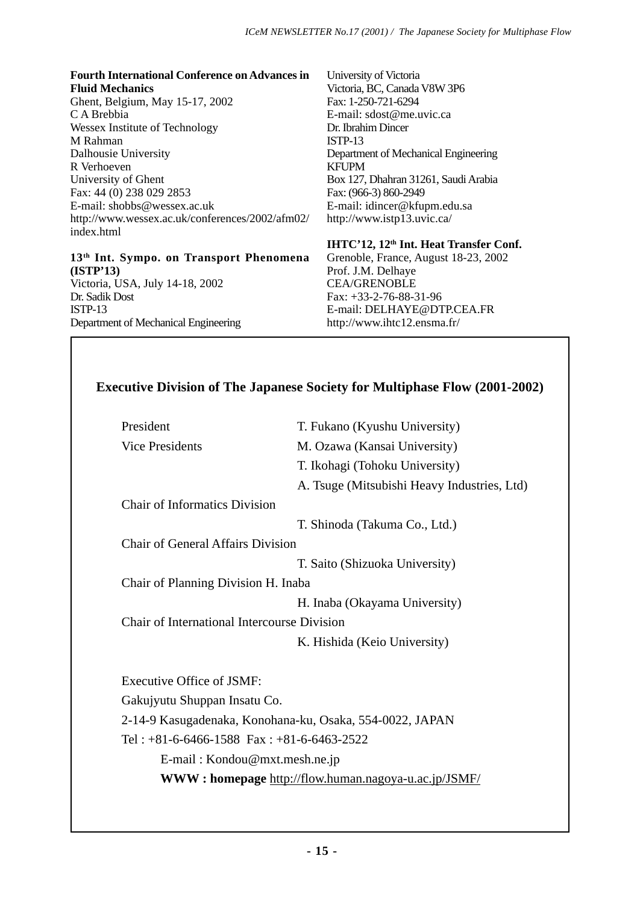# **Fourth International Conference on Advances in**

**Fluid Mechanics** Ghent, Belgium, May 15-17, 2002 C A Brebbia Wessex Institute of Technology M Rahman Dalhousie University R Verhoeven University of Ghent Fax: 44 (0) 238 029 2853 E-mail: shobbs@wessex.ac.uk http://www.wessex.ac.uk/conferences/2002/afm02/ index.html

# **13th Int. Sympo. on Transport Phenomena (ISTP'13)**

Victoria, USA, July 14-18, 2002 Dr. Sadik Dost ISTP-13 Department of Mechanical Engineering

University of Victoria Victoria, BC, Canada V8W 3P6 Fax: 1-250-721-6294 E-mail: sdost@me.uvic.ca Dr. Ibrahim Dincer ISTP-13 Department of Mechanical Engineering KFUPM Box 127, Dhahran 31261, Saudi Arabia Fax: (966-3) 860-2949 E-mail: idincer@kfupm.edu.sa http://www.istp13.uvic.ca/

**IHTC'12, 12th Int. Heat Transfer Conf.** Grenoble, France, August 18-23, 2002 Prof. J.M. Delhaye CEA/GRENOBLE Fax: +33-2-76-88-31-96 E-mail: DELHAYE@DTP.CEA.FR http://www.ihtc12.ensma.fr/

# **Executive Division of The Japanese Society for Multiphase Flow (2001-2002)**

| President                                                   | T. Fukano (Kyushu University)               |  |
|-------------------------------------------------------------|---------------------------------------------|--|
| Vice Presidents                                             | M. Ozawa (Kansai University)                |  |
|                                                             | T. Ikohagi (Tohoku University)              |  |
|                                                             | A. Tsuge (Mitsubishi Heavy Industries, Ltd) |  |
| <b>Chair of Informatics Division</b>                        |                                             |  |
|                                                             | T. Shinoda (Takuma Co., Ltd.)               |  |
| <b>Chair of General Affairs Division</b>                    |                                             |  |
|                                                             | T. Saito (Shizuoka University)              |  |
| Chair of Planning Division H. Inaba                         |                                             |  |
|                                                             | H. Inaba (Okayama University)               |  |
| Chair of International Intercourse Division                 |                                             |  |
|                                                             | K. Hishida (Keio University)                |  |
|                                                             |                                             |  |
| Executive Office of JSMF:                                   |                                             |  |
| Gakujyutu Shuppan Insatu Co.                                |                                             |  |
| 2-14-9 Kasugadenaka, Konohana-ku, Osaka, 554-0022, JAPAN    |                                             |  |
| Tel: $+81-6-6466-1588$ Fax: $+81-6-6463-2522$               |                                             |  |
| E-mail: Kondou@mxt.mesh.ne.jp                               |                                             |  |
| <b>WWW: homepage</b> http://flow.human.nagoya-u.ac.jp/JSMF/ |                                             |  |